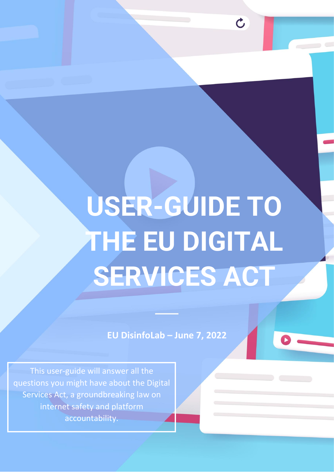# USER-GUIDE TO **THE EU DIGITAL SERVICES ACT**

 $\mathcal{C}$ 

**EU DisinfoLab – June 7, 2022**

This user-guide will answer all the questions you might have about the Digital Services Act, a groundbreaking law on internet safety and platform accountability.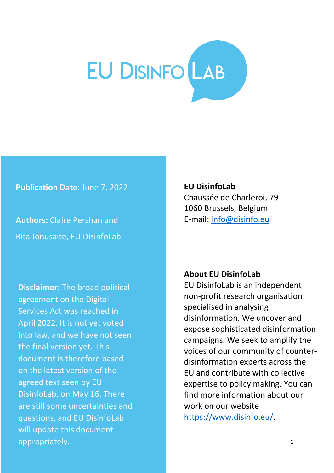# EU DISINFO<sup>LAB</sup>

**Publication Date:** June 7, 2022

**Authors:** Claire Pershan and Rita Jonusaite, EU DisinfoLab

**Disclaimer:** The broad political agreement on the Digital Services Act was reached in April 2022. It is not yet voted into law, and we have not seen the final version yet. This document is therefore based on the latest version of the agreed text seen by EU DisinfoLab, on May 16. There are still some uncertainties and questions, and EU DisinfoLab will update this document appropriately.

**EU DisinfoLab** Chaussée de Charleroi, 79 1060 Brussels, Belgium E-mail: [info@disinfo.eu](mailto:info@disinfo.eu)

#### **About EU DisinfoLab**

EU DisinfoLab is an independent non-profit research organisation specialised in analysing disinformation. We uncover and expose sophisticated disinformation campaigns. We seek to amplify the voices of our community of counterdisinformation experts across the EU and contribute with collective expertise to policy making. You can find more information about our work on our website [https://www.disinfo.eu/.](https://www.disinfo.eu/)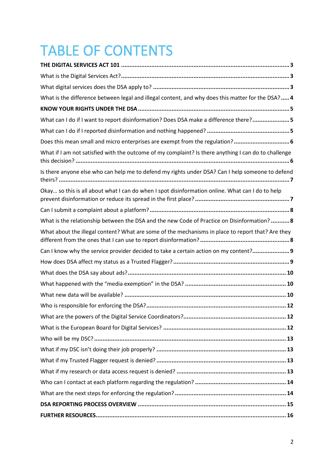# TABLE OF CONTENTS

| What is the difference between legal and illegal content, and why does this matter for the DSA? 4    |
|------------------------------------------------------------------------------------------------------|
|                                                                                                      |
| What can I do if I want to report disinformation? Does DSA make a difference there? 5                |
|                                                                                                      |
| Does this mean small and micro enterprises are exempt from the regulation? 6                         |
| What if I am not satisfied with the outcome of my complaint? Is there anything I can do to challenge |
| Is there anyone else who can help me to defend my rights under DSA? Can I help someone to defend     |
| Okay so this is all about what I can do when I spot disinformation online. What can I do to help     |
|                                                                                                      |
| What is the relationship between the DSA and the new Code of Practice on Disinformation? 8           |
| What about the illegal content? What are some of the mechanisms in place to report that? Are they    |
| Can I know why the service provider decided to take a certain action on my content? 9                |
|                                                                                                      |
|                                                                                                      |
|                                                                                                      |
|                                                                                                      |
|                                                                                                      |
|                                                                                                      |
|                                                                                                      |
|                                                                                                      |
|                                                                                                      |
|                                                                                                      |
|                                                                                                      |
|                                                                                                      |
|                                                                                                      |
|                                                                                                      |
|                                                                                                      |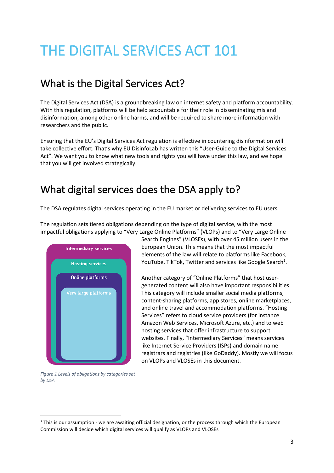# <span id="page-3-0"></span>THE DIGITAL SERVICES ACT 101

#### <span id="page-3-1"></span>What is the Digital Services Act?

The Digital Services Act (DSA) is a groundbreaking law on internet safety and platform accountability. With this regulation, platforms will be held accountable for their role in disseminating mis and disinformation, among other online harms, and will be required to share more information with researchers and the public.

Ensuring that the EU's Digital Services Act regulation is effective in countering disinformation will take collective effort. That's why EU DisinfoLab has written this "User-Guide to the Digital Services Act". We want you to know what new tools and rights you will have under this law, and we hope that you will get involved strategically.

#### <span id="page-3-2"></span>What digital services does the DSA apply to?

The DSA regulates digital services operating in the EU market or delivering services to EU users.

The regulation sets tiered obligations depending on the type of digital service, with the most impactful obligations applying to "Very Large Online Platforms" (VLOPs) and to "Very Large Online



Search Engines" (VLOSEs), with over 45 million users in the European Union. This means that the most impactful elements of the law will relate to platforms like Facebook, YouTube, TikTok, Twitter and services like Google Search<sup>1</sup>.

Another category of "Online Platforms" that host usergenerated content will also have important responsibilities. This category will include smaller social media platforms, content-sharing platforms, app stores, online marketplaces, and online travel and accommodation platforms. "Hosting Services" refers to cloud service providers (for instance Amazon Web Services, Microsoft Azure, etc.) and to web hosting services that offer infrastructure to support websites. Finally, "Intermediary Services" means services like Internet Service Providers (ISPs) and domain name registrars and registries (like GoDaddy). Mostly we will focus on VLOPs and VLOSEs in this document.

*Figure 1 Levels of obligations by categories set by DSA*

*<sup>1</sup>* This is our assumption - we are awaiting official designation, or the process through which the European Commission will decide which digital services will qualify as VLOPs and VLOSEs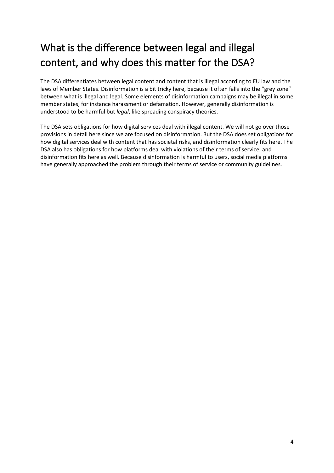## <span id="page-4-0"></span>What is the difference between legal and illegal content, and why does this matter for the DSA?

The DSA differentiates between legal content and content that is illegal according to EU law and the laws of Member States. Disinformation is a bit tricky here, because it often falls into the "grey zone" between what is illegal and legal. Some elements of disinformation campaigns may be illegal in some member states, for instance harassment or defamation. However, generally disinformation is understood to be harmful but *legal*, like spreading conspiracy theories.

The DSA sets obligations for how digital services deal with illegal content. We will not go over those provisions in detail here since we are focused on disinformation. But the DSA does set obligations for how digital services deal with content that has societal risks, and disinformation clearly fits here. The DSA also has obligations for how platforms deal with violations of their terms of service, and disinformation fits here as well. Because disinformation is harmful to users, social media platforms have generally approached the problem through their terms of service or community guidelines.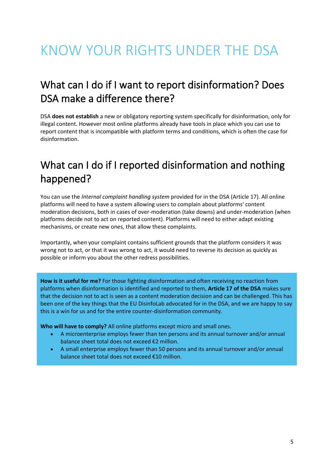## <span id="page-5-0"></span>KNOW YOUR RIGHTS UNDER THE DSA

### <span id="page-5-1"></span>What can I do if I want to report disinformation? Does DSA make a difference there?

DSA **does not establish** a new or obligatory reporting system specifically for disinformation, only for illegal content. However most online platforms already have tools in place which you can use to report content that is incompatible with platform terms and conditions, which is often the case for disinformation.

### <span id="page-5-2"></span>What can I do if I reported disinformation and nothing happened?

You can use the *Internal complaint handling system* provided for in the DSA (Article 17). All online platforms will need to have a system allowing users to complain about platforms' content moderation decisions, both in cases of over-moderation (take downs) and under-moderation (when platforms decide not to act on reported content). Platforms will need to either adapt existing mechanisms, or create new ones, that allow these complaints.

Importantly, when your complaint contains sufficient grounds that the platform considers it was wrong not to act, or that it was wrong to act, it would need to reverse its decision as quickly as possible or inform you about the other redress possibilities.

**How is it useful for me?** For those fighting disinformation and often receiving no reaction from platforms when disinformation is identified and reported to them, **Article 17 of the DSA** makes sure that the decision not to act is seen as a content moderation decision and can be challenged. This has been one of the key things that the EU DisinfoLab advocated for in the DSA, and we are happy to say this is a win for us and for the entire counter-disinformation community.

**Who will have to comply?** All online platforms except micro and small ones.

- A microenterprise employs fewer than ten persons and its annual turnover and/or annual balance sheet total does not exceed €2 million.
- A small enterprise employs fewer than 50 persons and its annual turnover and/or annual balance sheet total does not exceed €10 million.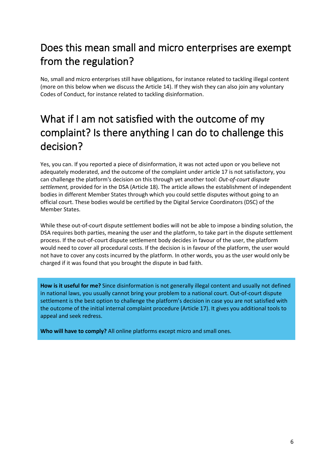## <span id="page-6-0"></span>Does this mean small and micro enterprises are exempt from the regulation?

No, small and micro enterprises still have obligations, for instance related to tackling illegal content (more on this below when we discuss the Article 14). If they wish they can also join any voluntary Codes of Conduct, for instance related to tackling disinformation.

## <span id="page-6-1"></span>What if I am not satisfied with the outcome of my complaint? Is there anything I can do to challenge this decision?

Yes, you can. If you reported a piece of disinformation, it was not acted upon or you believe not adequately moderated, and the outcome of the complaint under article 17 is not satisfactory, you can challenge the platform's decision on this through yet another tool: *Out-of-court dispute settlement,* provided for in the DSA (Article 18). The article allows the establishment of independent bodies in different Member States through which you could settle disputes without going to an official court. These bodies would be certified by the Digital Service Coordinators (DSC) of the Member States.

While these out-of-court dispute settlement bodies will not be able to impose a binding solution, the DSA requires both parties, meaning the user and the platform, to take part in the dispute settlement process. If the out-of-court dispute settlement body decides in favour of the user, the platform would need to cover all procedural costs. If the decision is in favour of the platform, the user would not have to cover any costs incurred by the platform. In other words, you as the user would only be charged if it was found that you brought the dispute in bad faith.

**How is it useful for me?** Since disinformation is not generally illegal content and usually not defined in national laws, you usually cannot bring your problem to a national court. Out-of-court dispute settlement is the best option to challenge the platform's decision in case you are not satisfied with the outcome of the initial internal complaint procedure (Article 17). It gives you additional tools to appeal and seek redress.

**Who will have to comply?** All online platforms except micro and small ones.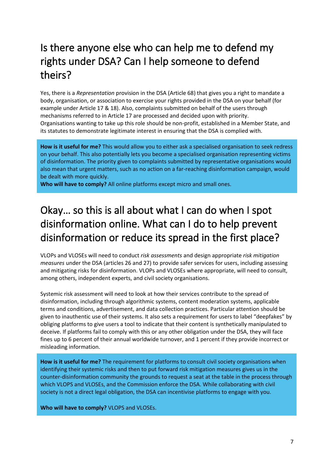## <span id="page-7-0"></span>Is there anyone else who can help me to defend my rights under DSA? Can I help someone to defend theirs?

Yes, there is a *Representation* provision in the DSA (Article 68) that gives you a right to mandate a body, organisation, or association to exercise your rights provided in the DSA on your behalf (for example under Article 17 & 18). Also, complaints submitted on behalf of the users through mechanisms referred to in Article 17 are processed and decided upon with priority. Organisations wanting to take up this role should be non-profit, established in a Member State, and its statutes to demonstrate legitimate interest in ensuring that the DSA is complied with.

**How is it useful for me?** This would allow you to either ask a specialised organisation to seek redress on your behalf. This also potentially lets you become a specialised organisation representing victims of disinformation. The priority given to complaints submitted by representative organisations would also mean that urgent matters, such as no action on a far-reaching disinformation campaign, would be dealt with more quickly.

**Who will have to comply?** All online platforms except micro and small ones.

## <span id="page-7-1"></span>Okay… so this is all about what I can do when I spot disinformation online. What can I do to help prevent disinformation or reduce its spread in the first place?

VLOPs and VLOSEs will need to conduct *risk assessments* and design appropriate *risk mitigation measures* under the DSA (articles 26 and 27) to provide safer services for users, including assessing and mitigating risks for disinformation. VLOPs and VLOSEs where appropriate, will need to consult, among others, independent experts, and civil society organisations.

Systemic risk assessment will need to look at how their services contribute to the spread of disinformation, including through algorithmic systems, content moderation systems, applicable terms and conditions, advertisement, and data collection practices. Particular attention should be given to inauthentic use of their systems. It also sets a requirement for users to label "deepfakes" by obliging platforms to give users a tool to indicate that their content is synthetically manipulated to deceive. If platforms fail to comply with this or any other obligation under the DSA, they will face fines up to 6 percent of their annual worldwide turnover, and 1 percent if they provide incorrect or misleading information.

**How is it useful for me?** The requirement for platforms to consult civil society organisations when identifying their systemic risks and then to put forward risk mitigation measures gives us in the counter-disinformation community the grounds to request a seat at the table in the process through which VLOPS and VLOSEs, and the Commission enforce the DSA. While collaborating with civil society is not a direct legal obligation, the DSA can incentivise platforms to engage with you.

**Who will have to comply?** VLOPS and VLOSEs.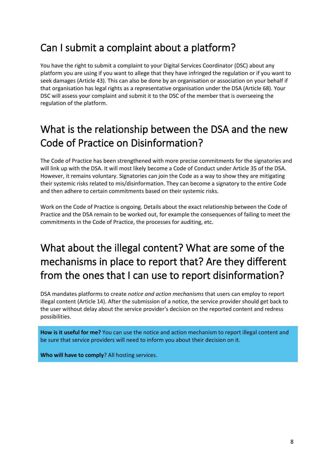#### <span id="page-8-0"></span>Can I submit a complaint about a platform?

You have the right to submit a complaint to your Digital Services Coordinator (DSC) about any platform you are using if you want to allege that they have infringed the regulation or if you want to seek damages (Article 43). This can also be done by an organisation or association on your behalf if that organisation has legal rights as a representative organisation under the DSA (Article 68). Your DSC will assess your complaint and submit it to the DSC of the member that is overseeing the regulation of the platform.

#### <span id="page-8-1"></span>What is the relationship between the DSA and the new Code of Practice on Disinformation?

The Code of Practice has been strengthened with more precise commitments for the signatories and will link up with the DSA. It will most likely become a Code of Conduct under Article 35 of the DSA. However, it remains voluntary. Signatories can join the Code as a way to show they are mitigating their systemic risks related to mis/disinformation. They can become a signatory to the entire Code and then adhere to certain commitments based on their systemic risks.

Work on the Code of Practice is ongoing. Details about the exact relationship between the Code of Practice and the DSA remain to be worked out, for example the consequences of failing to meet the commitments in the Code of Practice, the processes for auditing, etc.

## <span id="page-8-2"></span>What about the illegal content? What are some of the mechanisms in place to report that? Are they different from the ones that I can use to report disinformation?

DSA mandates platforms to create *notice and action mechanisms* that users can employ to report illegal content (Article 14). After the submission of a notice, the service provider should get back to the user without delay about the service provider's decision on the reported content and redress possibilities.

**How is it useful for me?** You can use the notice and action mechanism to report illegal content and be sure that service providers will need to inform you about their decision on it.

**Who will have to comply**? All hosting services.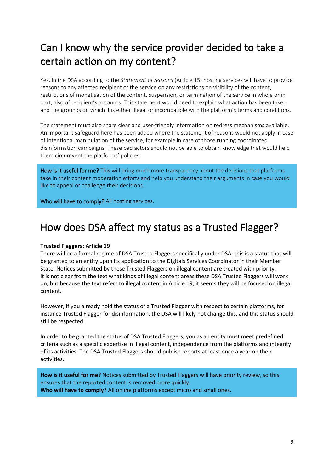## <span id="page-9-0"></span>Can I know why the service provider decided to take a certain action on my content?

Yes, in the DSA according to the *Statement of reasons* (Article 15) hosting services will have to provide reasons to any affected recipient of the service on any restrictions on visibility of the content, restrictions of monetisation of the content, suspension, or termination of the service in whole or in part, also of recipient's accounts. This statement would need to explain what action has been taken and the grounds on which it is either illegal or incompatible with the platform's terms and conditions.

The statement must also share clear and user-friendly information on redress mechanisms available. An important safeguard here has been added where the statement of reasons would not apply in case of intentional manipulation of the service, for example in case of those running coordinated disinformation campaigns. These bad actors should not be able to obtain knowledge that would help them circumvent the platforms' policies.

How is it useful for me? This will bring much more transparency about the decisions that platforms take in their content moderation efforts and help you understand their arguments in case you would like to appeal or challenge their decisions.

Who will have to comply? All hosting services.

#### <span id="page-9-1"></span>How does DSA affect my status as a Trusted Flagger?

#### **Trusted Flaggers: Article 19**

 $\frac{1}{\sqrt{2}}$ 

There will be a formal regime of DSA Trusted Flaggers specifically under DSA: this is a status that will be granted to an entity upon its application to the Digitals Services Coordinator in their Member State. Notices submitted by these Trusted Flaggers on illegal content are treated with priority. It is not clear from the text what kinds of illegal content areas these DSA Trusted Flaggers will work on, but because the text refers to illegal content in Article 19, it seems they will be focused on illegal content.

However, if you already hold the status of a Trusted Flagger with respect to certain platforms, for instance Trusted Flagger for disinformation, the DSA will likely not change this, and this status should still be respected.

In order to be granted the status of DSA Trusted Flaggers, you as an entity must meet predefined criteria such as a specific expertise in illegal content, independence from the platforms and integrity of its activities. The DSA Trusted Flaggers should publish reports at least once a year on their activities.

**How is it useful for me?** Notices submitted by Trusted Flaggers will have priority review, so this ensures that the reported content is removed more quickly. **Who will have to comply?** All online platforms except micro and small ones.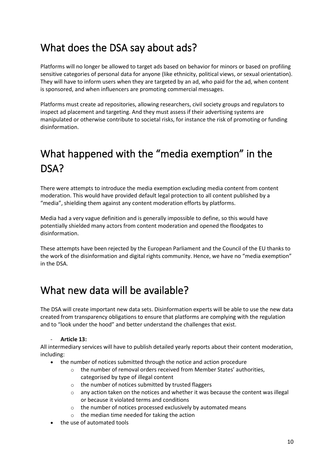#### <span id="page-10-0"></span>What does the DSA say about ads?

Platforms will no longer be allowed to target ads based on behavior for minors or based on profiling sensitive categories of personal data for anyone (like ethnicity, political views, or sexual orientation). They will have to inform users when they are targeted by an ad, who paid for the ad, when content is sponsored, and when influencers are promoting commercial messages.

Platforms must create ad repositories, allowing researchers, civil society groups and regulators to inspect ad placement and targeting. And they must assess if their advertising systems are manipulated or otherwise contribute to societal risks, for instance the risk of promoting or funding disinformation.

## <span id="page-10-1"></span>What happened with the "media exemption" in the DSA?

There were attempts to introduce the media exemption excluding media content from content moderation. This would have provided default legal protection to all content published by a "media", shielding them against any content moderation efforts by platforms.

Media had a very vague definition and is generally impossible to define, so this would have potentially shielded many actors from content moderation and opened the floodgates to disinformation.

These attempts have been rejected by the European Parliament and the Council of the EU thanks to the work of the disinformation and digital rights community. Hence, we have no "media exemption" in the DSA.

#### <span id="page-10-2"></span>What new data will be available?

The DSA will create important new data sets. Disinformation experts will be able to use the new data created from transparency obligations to ensure that platforms are complying with the regulation and to "look under the hood" and better understand the challenges that exist.

#### - **Article 13:**

All intermediary services will have to publish detailed yearly reports about their content moderation, including:

- the number of notices submitted through the notice and action procedure
	- o the number of removal orders received from Member States' authorities, categorised by type of illegal content
	- $\circ$  the number of notices submitted by trusted flaggers
	- $\circ$  any action taken on the notices and whether it was because the content was illegal or because it violated terms and conditions
	- o the number of notices processed exclusively by automated means
	- o the median time needed for taking the action
- the use of automated tools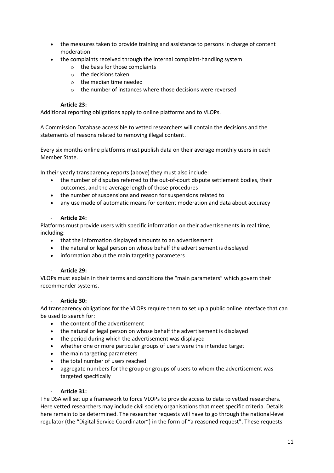- the measures taken to provide training and assistance to persons in charge of content moderation
- the complaints received through the internal complaint-handling system
	- o the basis for those complaints
	- o the decisions taken
	- $\circ$  the median time needed
	- o the number of instances where those decisions were reversed

#### - **Article 23:**

Additional reporting obligations apply to online platforms and to VLOPs.

A Commission Database accessible to vetted researchers will contain the decisions and the statements of reasons related to removing illegal content.

Every six months online platforms must publish data on their average monthly users in each Member State.

In their yearly transparency reports (above) they must also include:

- the number of disputes referred to the out-of-court dispute settlement bodies, their outcomes, and the average length of those procedures
- the number of suspensions and reason for suspensions related to
- any use made of automatic means for content moderation and data about accuracy

#### - **Article 24:**

Platforms must provide users with specific information on their advertisements in real time, including:

- that the information displayed amounts to an advertisement
- the natural or legal person on whose behalf the advertisement is displayed
- information about the main targeting parameters

#### - **Article 29:**

VLOPs must explain in their terms and conditions the "main parameters" which govern their recommender systems.

#### - **Article 30:**

Ad transparency obligations for the VLOPs require them to set up a public online interface that can be used to search for:

- the content of the advertisement
- the natural or legal person on whose behalf the advertisement is displayed
- the period during which the advertisement was displayed
- whether one or more particular groups of users were the intended target
- the main targeting parameters
- the total number of users reached
- aggregate numbers for the group or groups of users to whom the advertisement was targeted specifically

#### - **Article 31:**

The DSA will set up a framework to force VLOPs to provide access to data to vetted researchers. Here vetted researchers may include civil society organisations that meet specific criteria. Details here remain to be determined. The researcher requests will have to go through the national-level regulator (the "Digital Service Coordinator") in the form of "a reasoned request". These requests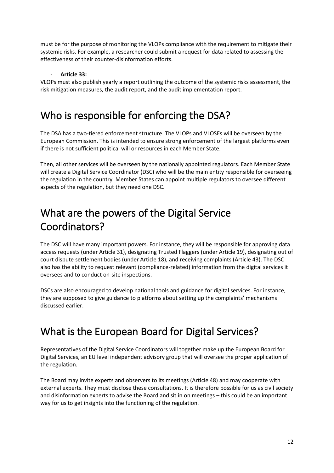must be for the purpose of monitoring the VLOPs compliance with the requirement to mitigate their systemic risks. For example, a researcher could submit a request for data related to assessing the effectiveness of their counter-disinformation efforts.

#### - **Article 33:**

VLOPs must also publish yearly a report outlining the outcome of the systemic risks assessment, the risk mitigation measures, the audit report, and the audit implementation report.

#### <span id="page-12-0"></span>Who is responsible for enforcing the DSA?

The DSA has a two-tiered enforcement structure. The VLOPs and VLOSEs will be overseen by the European Commission. This is intended to ensure strong enforcement of the largest platforms even if there is not sufficient political will or resources in each Member State.

Then, all other services will be overseen by the nationally appointed regulators. Each Member State will create a Digital Service Coordinator (DSC) who will be the main entity responsible for overseeing the regulation in the country. Member States can appoint multiple regulators to oversee different aspects of the regulation, but they need one DSC.

#### <span id="page-12-1"></span>What are the powers of the Digital Service Coordinators?

The DSC will have many important powers. For instance, they will be responsible for approving data access requests (under Article 31), designating Trusted Flaggers (under Article 19), designating out of court dispute settlement bodies (under Article 18), and receiving complaints (Article 43). The DSC also has the ability to request relevant (compliance-related) information from the digital services it oversees and to conduct on-site inspections.

DSCs are also encouraged to develop national tools and guidance for digital services. For instance, they are supposed to give guidance to platforms about setting up the complaints' mechanisms discussed earlier.

#### <span id="page-12-2"></span>What is the European Board for Digital Services?

Representatives of the Digital Service Coordinators will together make up the European Board for Digital Services, an EU level independent advisory group that will oversee the proper application of the regulation.

The Board may invite experts and observers to its meetings (Article 48) and may cooperate with external experts. They must disclose these consultations. It is therefore possible for us as civil society and disinformation experts to advise the Board and sit in on meetings – this could be an important way for us to get insights into the functioning of the regulation.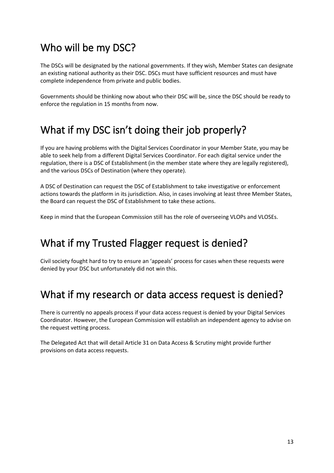#### <span id="page-13-0"></span>Who will be my DSC?

The DSCs will be designated by the national governments. If they wish, Member States can designate an existing national authority as their DSC. DSCs must have sufficient resources and must have complete independence from private and public bodies.

Governments should be thinking now about who their DSC will be, since the DSC should be ready to enforce the regulation in 15 months from now.

#### <span id="page-13-1"></span>What if my DSC isn't doing their job properly?

If you are having problems with the Digital Services Coordinator in your Member State, you may be able to seek help from a different Digital Services Coordinator. For each digital service under the regulation, there is a DSC of Establishment (in the member state where they are legally registered), and the various DSCs of Destination (where they operate).

A DSC of Destination can request the DSC of Establishment to take investigative or enforcement actions towards the platform in its jurisdiction. Also, in cases involving at least three Member States, the Board can request the DSC of Establishment to take these actions.

Keep in mind that the European Commission still has the role of overseeing VLOPs and VLOSEs.

#### <span id="page-13-2"></span>What if my Trusted Flagger request is denied?

Civil society fought hard to try to ensure an 'appeals' process for cases when these requests were denied by your DSC but unfortunately did not win this.

### <span id="page-13-3"></span>What if my research or data access request is denied?

There is currently no appeals process if your data access request is denied by your Digital Services Coordinator. However, the European Commission will establish an independent agency to advise on the request vetting process.

The Delegated Act that will detail Article 31 on Data Access & Scrutiny might provide further provisions on data access requests.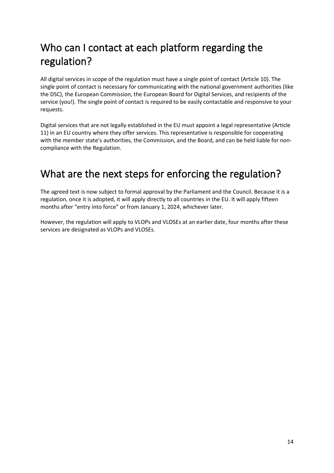## <span id="page-14-0"></span>Who can I contact at each platform regarding the regulation?

All digital services in scope of the regulation must have a single point of contact (Article 10). The single point of contact is necessary for communicating with the national government authorities (like the DSC), the European Commission, the European Board for Digital Services, and recipients of the service (you!). The single point of contact is required to be easily contactable and responsive to your requests.

Digital services that are not legally established in the EU must appoint a legal representative (Article 11) in an EU country where they offer services. This representative is responsible for cooperating with the member state's authorities, the Commission, and the Board, and can be held liable for noncompliance with the Regulation.

### <span id="page-14-1"></span>What are the next steps for enforcing the regulation?

The agreed text is now subject to formal approval by the Parliament and the Council. Because it is a regulation, once it is adopted, it will apply directly to all countries in the EU. It will apply fifteen months after "entry into force" or from January 1, 2024, whichever later.

However, the regulation will apply to VLOPs and VLOSEs at an earlier date, four months after these services are designated as VLOPs and VLOSEs.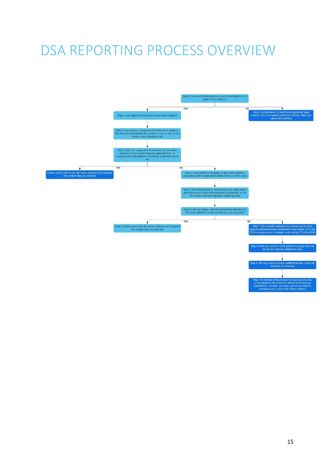# <span id="page-15-0"></span>DSA REPORTING PROCESS OVERVIEW